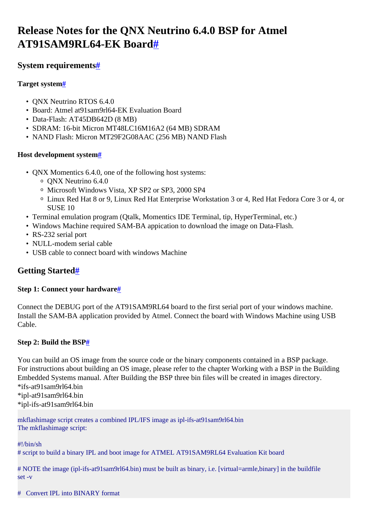# <span id="page-0-0"></span>**Release Notes for the QNX Neutrino 6.4.0 BSP for Atmel AT91SAM9RL64-EK Board[#](#page-0-0)**

# <span id="page-0-1"></span>**System requirement[s#](#page-0-1)**

## <span id="page-0-2"></span>**Target system[#](#page-0-2)**

- ONX Neutrino RTOS 6.4.0
- Board: Atmel at91sam9rl64-EK Evaluation Board
- Data-Flash: AT45DB642D (8 MB)
- SDRAM: 16-bit Micron MT48LC16M16A2 (64 MB) SDRAM
- NAND Flash: Micron MT29F2G08AAC (256 MB) NAND Flash

# <span id="page-0-3"></span>**Host development syste[m#](#page-0-3)**

- QNX Momentics 6.4.0, one of the following host systems:
	- <sup>o</sup> QNX Neutrino 6.4.0
	- <sup>o</sup> Microsoft Windows Vista, XP SP2 or SP3, 2000 SP4
	- <sup>o</sup> Linux Red Hat 8 or 9, Linux Red Hat Enterprise Workstation 3 or 4, Red Hat Fedora Core 3 or 4, or SUSE 10
- Terminal emulation program (Qtalk, Momentics IDE Terminal, tip, HyperTerminal, etc.)
- Windows Machine required SAM-BA appication to download the image on Data-Flash.
- RS-232 serial port
- NULL-modem serial cable
- USB cable to connect board with windows Machine

# <span id="page-0-4"></span>**Getting Started[#](#page-0-4)**

# <span id="page-0-5"></span>**Step 1: Connect your hardware[#](#page-0-5)**

Connect the DEBUG port of the AT91SAM9RL64 board to the first serial port of your windows machine. Install the SAM-BA application provided by Atmel. Connect the board with Windows Machine using USB Cable.

# <span id="page-0-6"></span>**Step 2: Build the BS[P#](#page-0-6)**

You can build an OS image from the source code or the binary components contained in a BSP package. For instructions about building an OS image, please refer to the chapter Working with a BSP in the Building Embedded Systems manual. After Building the BSP three bin files will be created in images directory. \*ifs-at91sam9rl64.bin

\*ipl-at91sam9rl64.bin \*ipl-ifs-at91sam9rl64.bin

mkflashimage script creates a combined IPL/IFS image as ipl-ifs-at91sam9rl64.bin The mkflashimage script:

#!/bin/sh

# script to build a binary IPL and boot image for ATMEL AT91SAM9RL64 Evaluation Kit board

# NOTE the image (ipl-ifs-at91sam9rl64.bin) must be built as binary, i.e. [virtual=armle,binary] in the buildfile set -v

# Convert IPL into BINARY format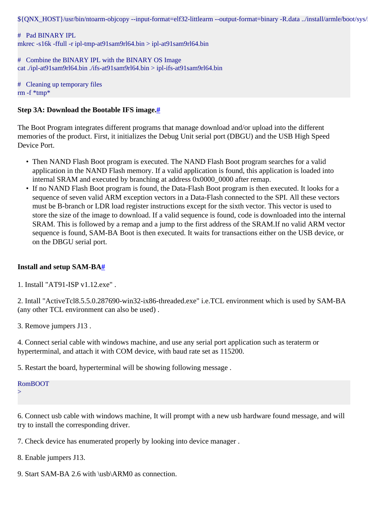\${ONX\_HOST}/usr/bin/ntoarm-objcopy --input-format=elf32-littlearm --output-format=binary -R.data ../install/armle/boot/sys/

# Pad BINARY IPL mkrec -s16k -ffull -r ipl-tmp-at91sam9rl64.bin > ipl-at91sam9rl64.bin

# Combine the BINARY IPL with the BINARY OS Image cat ./ipl-at91sam9rl64.bin ./ifs-at91sam9rl64.bin > ipl-ifs-at91sam9rl64.bin

# Cleaning up temporary files rm  $-f$  \*tmp\*

#### <span id="page-1-0"></span>**Step 3A: Download the Bootable IFS image[.#](#page-1-0)**

The Boot Program integrates different programs that manage download and/or upload into the different memories of the product. First, it initializes the Debug Unit serial port (DBGU) and the USB High Speed Device Port.

- Then NAND Flash Boot program is executed. The NAND Flash Boot program searches for a valid application in the NAND Flash memory. If a valid application is found, this application is loaded into internal SRAM and executed by branching at address 0x0000 0000 after remap.
- If no NAND Flash Boot program is found, the Data-Flash Boot program is then executed. It looks for a sequence of seven valid ARM exception vectors in a Data-Flash connected to the SPI. All these vectors must be B-branch or LDR load register instructions except for the sixth vector. This vector is used to store the size of the image to download. If a valid sequence is found, code is downloaded into the internal SRAM. This is followed by a remap and a jump to the first address of the SRAM.If no valid ARM vector sequence is found, SAM-BA Boot is then executed. It waits for transactions either on the USB device, or on the DBGU serial port.

#### <span id="page-1-1"></span>**Install and setup SAM-B[A#](#page-1-1)**

1. Install "AT91-ISP v1.12.exe" .

2. Intall "ActiveTcl8.5.5.0.287690-win32-ix86-threaded.exe" i.e.TCL environment which is used by SAM-BA (any other TCL environment can also be used) .

3. Remove jumpers J13 .

4. Connect serial cable with windows machine, and use any serial port application such as teraterm or hyperterminal, and attach it with COM device, with baud rate set as 115200.

5. Restart the board, hyperterminal will be showing following message .

### RomBOOT

 $\overline{\phantom{a}}$ 

6. Connect usb cable with windows machine, It will prompt with a new usb hardware found message, and will try to install the corresponding driver.

7. Check device has enumerated properly by looking into device manager .

8. Enable jumpers J13.

9. Start SAM-BA 2.6 with \usb\ARM0 as connection.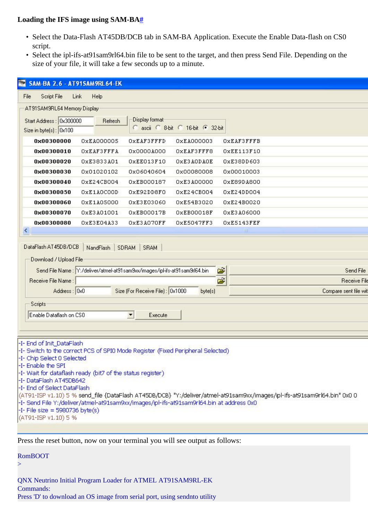#### <span id="page-2-0"></span>**Loading the IFS image using SAM-B[A#](#page-2-0)**

- Select the Data-Flash AT45DB/DCB tab in SAM-BA Application. Execute the Enable Data-flash on CS0 script.
- Select the ipl-ifs-at91sam9rl64.bin file to be sent to the target, and then press Send File. Depending on the size of your file, it will take a few seconds up to a minute.

| $\blacksquare$<br>SAM-BA 2.6 - AT91SAM9RL64-EK                                                                                                                                                                                                                                                                                                                                     |                   |                                                                                                                                                   |                                   |                                                                                                                           |  |  |
|------------------------------------------------------------------------------------------------------------------------------------------------------------------------------------------------------------------------------------------------------------------------------------------------------------------------------------------------------------------------------------|-------------------|---------------------------------------------------------------------------------------------------------------------------------------------------|-----------------------------------|---------------------------------------------------------------------------------------------------------------------------|--|--|
| Script File<br>Link<br>Help<br>File                                                                                                                                                                                                                                                                                                                                                |                   |                                                                                                                                                   |                                   |                                                                                                                           |  |  |
| AT91SAM9RL64 Memory Display                                                                                                                                                                                                                                                                                                                                                        |                   |                                                                                                                                                   |                                   |                                                                                                                           |  |  |
| Start Address: 0x300000<br>Size in byte(s): 0x100                                                                                                                                                                                                                                                                                                                                  | Refresh           | Display format                                                                                                                                    | C ascii C 8-bit C 16-bit C 32-bit |                                                                                                                           |  |  |
| 0x00300000                                                                                                                                                                                                                                                                                                                                                                         | 0xEA000005        | OXEAF3FFFD                                                                                                                                        | 0xEA000003                        | <b>OXEAF3FFFB</b>                                                                                                         |  |  |
| 0x00300010                                                                                                                                                                                                                                                                                                                                                                         | <b>OXEAF3FFFA</b> | 0x0000A000                                                                                                                                        | OXEAF3FFF8                        | OXEE113F10                                                                                                                |  |  |
| 0x00300020                                                                                                                                                                                                                                                                                                                                                                         | OxE3833A01        | OXEE013F10                                                                                                                                        | OXE3AODAOE                        | OxE38DD603                                                                                                                |  |  |
| 0x00300030                                                                                                                                                                                                                                                                                                                                                                         | 0x01020102        | 0x06040604                                                                                                                                        | 0x00080008                        | 0x00010003                                                                                                                |  |  |
| 0x00300040                                                                                                                                                                                                                                                                                                                                                                         | 0xE24CB004        | 0xEB000187                                                                                                                                        | 0xE3A00000                        | 0xE89DA800                                                                                                                |  |  |
| 0x00300050                                                                                                                                                                                                                                                                                                                                                                         | OXE1AOCOOD        | OxE92DD8FO                                                                                                                                        | 0xE24CB004                        | OxE24DD004                                                                                                                |  |  |
| 0x00300060                                                                                                                                                                                                                                                                                                                                                                         | 0xE1A05000        | 0xE3E03060                                                                                                                                        | 0xE54B3020                        | 0xE24B0020                                                                                                                |  |  |
| 0x00300070                                                                                                                                                                                                                                                                                                                                                                         | OxE3A01001        | 0xEB00017B                                                                                                                                        | OxEB00018F                        | 0xE3A06000                                                                                                                |  |  |
| 0x00300080                                                                                                                                                                                                                                                                                                                                                                         | OxE3E04A33        | OxE3A07OFF                                                                                                                                        | OxE5047FF3                        | OxE5143FEF                                                                                                                |  |  |
| Download / Upload File<br>Receive File Name:<br>Address: 0x0<br>Scripts<br>Enable Dataflash on CSO                                                                                                                                                                                                                                                                                 |                   | Send File Name: Y:/deliver/atmel-at91sam9xx/images/ipl-ifs-at91sam9rl64.bin<br>Size (For Receive File): 0x1000<br>$\blacktriangledown$<br>Execute | byte(s)                           | œ<br>Send File<br>É<br><b>Receive File</b><br>Compare sent file wit                                                       |  |  |
| -I- End of Init_DataFlash<br>-I- Switch to the correct PCS of SPI0 Mode Register (Fixed Peripheral Selected)<br>-I- Chip Select 0 Selected<br>-I- Enable the SPI<br>-I-Wait for dataflash ready (bit7 of the status register)<br>-I-DataFlash AT45DB642<br>-I- End of Select DataFlash<br>-I- Send File Y:/deliver/atmel-at91sam9xx/images/ipl-ifs-at91sam9rl64.bin at address 0x0 |                   |                                                                                                                                                   |                                   | (AT91-ISP v1.10) 5 % send_file {DataFlash AT45DB/DCB} "Y:/deliver/atmel-at91sam9xx/images/ipl-ifs-at91sam9rl64.bin" 0x0 0 |  |  |

Press the reset button, now on your terminal you will see output as follows:

RomBOOT

>

QNX Neutrino Initial Program Loader for ATMEL AT91SAM9RL-EK Commands: Press 'D' to download an OS image from serial port, using sendnto utility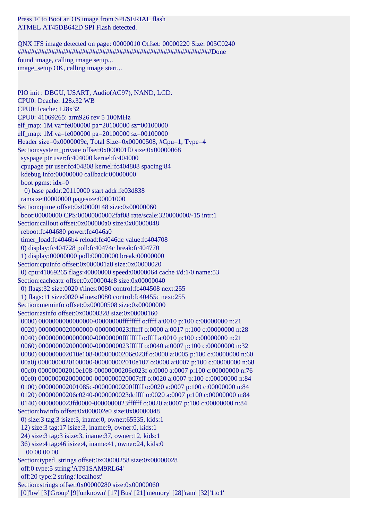Press 'F' to Boot an OS image from SPI/SERIAL flash ATMEL AT45DB642D SPI Flash detected.

QNX IFS image detected on page: 00000010 Offset: 00000220 Size: 005C0240 #########################################################Done found image, calling image setup... image setup OK, calling image start...

PIO init : DBGU, USART, Audio(AC97), NAND, LCD. CPU0: Dcache: 128x32 WB CPU0: Icache: 128x32 CPU0: 41069265: arm926 rev 5 100MHz elf\_map: 1M va=fe000000 pa=20100000 sz=00100000 elf\_map: 1M va=fe000000 pa=20100000 sz=00100000 Header size=0x0000009c, Total Size=0x00000508, #Cpu=1, Type=4 Section:system\_private offset:0x000001f0 size:0x00000068 syspage ptr user:fc404000 kernel:fc404000 cpupage ptr user:fc404808 kernel:fc404808 spacing:84 kdebug info:00000000 callback:00000000 boot pgms: idx=0 0) base paddr:20110000 start addr:fe03d838 ramsize:00000000 pagesize:00001000 Section:qtime offset:0x00000148 size:0x00000060 boot:00000000 CPS:00000000002faf08 rate/scale:320000000/-15 intr:1 Section:callout offset:0x000000a0 size:0x00000048 reboot:fc404680 power:fc4046a0 timer\_load:fc4046b4 reload:fc4046dc value:fc404708 0) display:fc404728 poll:fc40474c break:fc404770 1) display:00000000 poll:00000000 break:00000000 Section:cpuinfo offset:0x000001a8 size:0x00000020 0) cpu:41069265 flags:40000000 speed:00000064 cache i/d:1/0 name:53 Section:cacheattr offset:0x000004c8 size:0x00000040 0) flags:32 size:0020 #lines:0080 control:fc404508 next:255 1) flags:11 size:0020 #lines:0080 control:fc40455c next:255 Section:meminfo offset:0x00000508 size:0x00000000 Section:asinfo offset:0x00000328 size:0x00000160 0000) 0000000000000000-00000000ffffffff o:ffff a:0010 p:100 c:00000000 n:21 0020) 0000000020000000-0000000023ffffff o:0000 a:0017 p:100 c:00000000 n:28 0040) 00000000000000000-00000000ffffffff o:ffff a:0010 p:100 c:00000000 n:21 0060) 0000000020000000-0000000023ffffff o:0040 a:0007 p:100 c:00000000 n:32 0080) 000000002010e108-00000000206c023f o:0000 a:0005 p:100 c:00000000 n:60 00a0) 0000000020100000-000000002010e107 o:0000 a:0007 p:100 c:00000000 n:68 00c0) 000000002010e108-00000000206c023f o:0000 a:0007 p:100 c:00000000 n:76 00e0) 0000000020000000-0000000020007fff o:0020 a:0007 p:100 c:00000000 n:84 0100) 000000002001085c-00000000200fffff o:0020 a:0007 p:100 c:00000000 n:84 0120) 00000000206c0240-0000000023dcffff o:0020 a:0007 p:100 c:00000000 n:84 0140) 0000000023fd0000-0000000023ffffff o:0020 a:0007 p:100 c:00000000 n:84 Section:hwinfo offset:0x000002e0 size:0x00000048 0) size:3 tag:3 isize:3, iname:0, owner:65535, kids:1 12) size:3 tag:17 isize:3, iname:9, owner:0, kids:1 24) size:3 tag:3 isize:3, iname:37, owner:12, kids:1 36) size:4 tag:46 isize:4, iname:41, owner:24, kids:0 00 00 00 00 Section:typed\_strings offset:0x00000258 size:0x00000028 off:0 type:5 string:'AT91SAM9RL64' off:20 type:2 string:'localhost' Section:strings offset:0x00000280 size:0x00000060 [0]'hw' [3]'Group' [9]'unknown' [17]'Bus' [21]'memory' [28]'ram' [32]'1to1'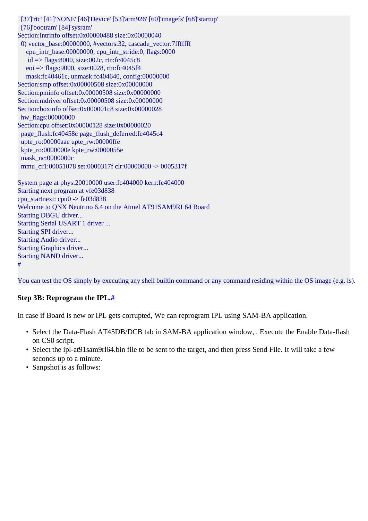[37]'rtc' [41]'NONE' [46]'Device' [53]'arm926' [60]'imagefs' [68]'startup' [76]'bootram' [84]'sysram' Section:intrinfo offset:0x00000488 size:0x00000040 0) vector\_base:00000000, #vectors:32, cascade\_vector:7fffffff cpu\_intr\_base:00000000, cpu\_intr\_stride:0, flags:0000  $id =$  flags:8000, size:002c, rtn:fc4045c8 eoi => flags:9000, size:0028, rtn:fc4045f4 mask:fc40461c, unmask:fc404640, config:00000000 Section:smp offset:0x00000508 size:0x00000000 Section:pminfo offset:0x00000508 size:0x00000000 Section:mdriver offset:0x00000508 size:0x00000000 Section:boxinfo offset:0x000001c8 size:0x00000028 hw\_flags:00000000 Section:cpu offset:0x00000128 size:0x00000020 page\_flush:fc40458c page\_flush\_deferred:fc4045c4 upte\_ro:00000aae upte\_rw:00000ffe kpte\_ro:0000000e kpte\_rw:0000055e mask\_nc:0000000c mmu\_cr1:00051078 set:0000317f clr:00000000 -> 0005317f System page at phys:20010000 user:fc404000 kern:fc404000 Starting next program at vfe03d838 cpu\_startnext: cpu0 -> fe03d838 Welcome to QNX Neutrino 6.4 on the Atmel AT91SAM9RL64 Board Starting DBGU driver... Starting Serial USART 1 driver ... Starting SPI driver... Starting Audio driver... Starting Graphics driver... Starting NAND driver... #

You can test the OS simply by executing any shell builtin command or any command residing within the OS image (e.g. ls).

#### <span id="page-4-0"></span>**Step 3B: Reprogram the IPL[.#](#page-4-0)**

In case if Board is new or IPL gets corrupted, We can reprogram IPL using SAM-BA application.

- Select the Data-Flash AT45DB/DCB tab in SAM-BA application window, . Execute the Enable Data-flash on CS0 script.
- Select the ipl-at91sam9rl64.bin file to be sent to the target, and then press Send File. It will take a few seconds up to a minute.
- Sanpshot is as follows: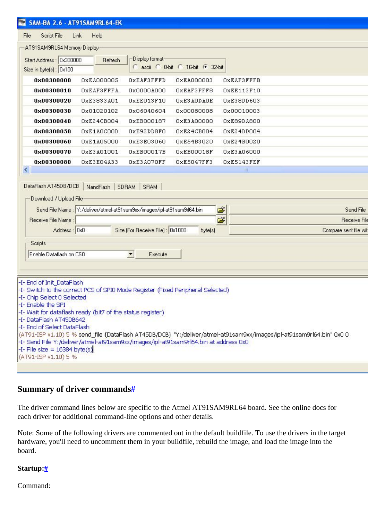| <b>EXAM-BA 2.6 - AT91SAM9RL64-EK</b>                                                                                                                 |                       |  |  |  |  |  |
|------------------------------------------------------------------------------------------------------------------------------------------------------|-----------------------|--|--|--|--|--|
| Script File<br>Link<br>File<br>Help                                                                                                                  |                       |  |  |  |  |  |
| AT91SAM9RL64 Memory Display                                                                                                                          |                       |  |  |  |  |  |
| Display format:<br>Start Address: 0x300000                                                                                                           |                       |  |  |  |  |  |
| Refresh<br>C ascii C 8-bit C 16-bit C 32-bit                                                                                                         |                       |  |  |  |  |  |
| Size in byte(s): 0x100                                                                                                                               |                       |  |  |  |  |  |
| 0x00300000<br>0xEA000005<br>OXEAF3FFFD<br>0xEA000003                                                                                                 | OXEAF3FFFB            |  |  |  |  |  |
| 0x00300010<br>OXEAF3FFFA<br>0x0000A000<br>OXEAF3FFF8                                                                                                 | OXEE113F10            |  |  |  |  |  |
| 0x00300020<br>OxE3833A01<br>OXE3AODAOE<br>OXEE013F10                                                                                                 | OxE38DD603            |  |  |  |  |  |
| 0x00300030<br>0x01020102<br>0x06040604<br>0x00080008                                                                                                 | 0x00010003            |  |  |  |  |  |
| 0x00300040<br>0xE24CB004<br>0xEB000187<br>0xE3A00000                                                                                                 | OxE89DA800            |  |  |  |  |  |
| 0x00300050<br>OXE1AOCOOD<br>OxE92DD8FO<br>0xE24CB004                                                                                                 | OxE24DD004            |  |  |  |  |  |
| 0x00300060<br>0xE1A05000<br>0xE3E03060<br>0xE54B3020                                                                                                 | 0xE24B0020            |  |  |  |  |  |
| 0x00300070<br>OxE3A01001<br>0xEB00017B<br>OXEB00018F                                                                                                 | 0xE3A06000            |  |  |  |  |  |
| 0x00300080<br>OXE3E04A33<br>OxE3A07OFF<br>OxE5047FF3                                                                                                 | OxE5143FEF            |  |  |  |  |  |
| K.                                                                                                                                                   | Ш                     |  |  |  |  |  |
| NandFlash   SDRAM   SRAM<br>Download / Upload File<br>œ<br>Send File Name : Y:/deliver/atmel-at91sam9xx/images/ipl-at91sam9rl64.bin<br>Send File     |                       |  |  |  |  |  |
| Receive File Name:                                                                                                                                   | É<br>Receive File     |  |  |  |  |  |
| Address: 0x0<br>Size (For Receive File): 0x1000<br>byte(s)                                                                                           | Compare sent file wit |  |  |  |  |  |
| Scripts                                                                                                                                              |                       |  |  |  |  |  |
| Enable Dataflash on CSO<br>$\blacktriangledown$<br>Execute                                                                                           |                       |  |  |  |  |  |
|                                                                                                                                                      |                       |  |  |  |  |  |
|                                                                                                                                                      |                       |  |  |  |  |  |
| -I- End of Init_DataFlash                                                                                                                            |                       |  |  |  |  |  |
| -I-Switch to the correct PCS of SPI0 Mode Register (Fixed Peripheral Selected)                                                                       |                       |  |  |  |  |  |
| -I- Chip Select 0 Selected<br>-I- Enable the SPI                                                                                                     |                       |  |  |  |  |  |
| -I-Wait for dataflash ready (bit7 of the status register)                                                                                            |                       |  |  |  |  |  |
| -I- DataFlash AT45DB642                                                                                                                              |                       |  |  |  |  |  |
| -I- End of Select DataFlash<br>(AT91-ISP v1.10) 5 % send_file {DataFlash AT45DB/DCB} "Y:/deliver/atmel-at91sam9xx/images/ipl-at91sam9rl64.bin" 0x0 0 |                       |  |  |  |  |  |
| -I- Send File Y:/deliver/atmel-at91sam9xx/images/ipl-at91sam9rl64.bin at address 0x0                                                                 |                       |  |  |  |  |  |
| $-I$ - File size = 16384 byte $(s)$                                                                                                                  |                       |  |  |  |  |  |
| (AT91-ISP v1.10) 5 %                                                                                                                                 |                       |  |  |  |  |  |
|                                                                                                                                                      |                       |  |  |  |  |  |

### <span id="page-5-0"></span>**Summary of driver command[s#](#page-5-0)**

The driver command lines below are specific to the Atmel AT91SAM9RL64 board. See the online docs for each driver for additional command-line options and other details.

Note: Some of the following drivers are commented out in the default buildfile. To use the drivers in the target hardware, you'll need to uncomment them in your buildfile, rebuild the image, and load the image into the board.

#### <span id="page-5-1"></span>**Startup:[#](#page-5-1)**

Command: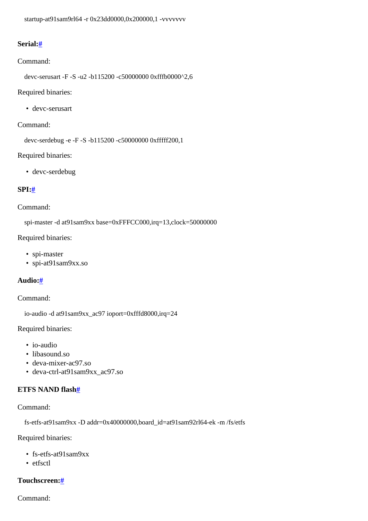```
 startup-at91sam9rl64 -r 0x23dd0000,0x200000,1 -vvvvvvv
```
## <span id="page-6-0"></span>**Serial[:#](#page-6-0)**

#### Command:

devc-serusart -F -S -u2 -b115200 -c50000000 0xfffb0000^2,6

Required binaries:

• devc-serusart

#### Command:

devc-serdebug -e -F -S -b115200 -c50000000 0xfffff200,1

Required binaries:

• devc-serdebug

#### <span id="page-6-1"></span>**SPI[:#](#page-6-1)**

#### Command:

spi-master -d at91sam9xx base=0xFFFCC000,irq=13,clock=50000000

Required binaries:

- spi-master
- spi-at91sam9xx.so

#### <span id="page-6-2"></span>**Audio:[#](#page-6-2)**

#### Command:

io-audio -d at91sam9xx\_ac97 ioport=0xfffd8000,irq=24

Required binaries:

- io-audio
- libasound.so
- deva-mixer-ac97.so
- deva-ctrl-at91sam9xx\_ac97.so

#### <span id="page-6-3"></span>**ETFS NAND flash[#](#page-6-3)**

Command:

fs-etfs-at91sam9xx -D addr=0x40000000,board\_id=at91sam92rl64-ek -m /fs/etfs

Required binaries:

- fs-etfs-at91sam9xx
- etfsctl

### <span id="page-6-4"></span>**Touchscreen:[#](#page-6-4)**

Command: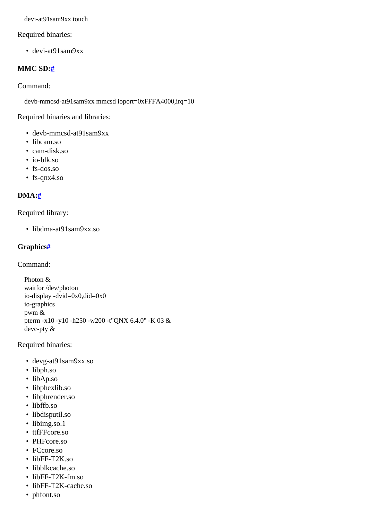devi-at91sam9xx touch

#### Required binaries:

• devi-at91sam9xx

### <span id="page-7-0"></span>**MMC SD:[#](#page-7-0)**

Command:

devb-mmcsd-at91sam9xx mmcsd ioport=0xFFFA4000,irq=10

Required binaries and libraries:

- devb-mmcsd-at91sam9xx
- libcam.so
- cam-disk.so
- io-blk.so
- fs-dos.so
- fs-qnx4.so

### <span id="page-7-1"></span>**DMA:[#](#page-7-1)**

Required library:

• libdma-at91sam9xx.so

#### <span id="page-7-2"></span>**Graphics[#](#page-7-2)**

Command:

 Photon & waitfor /dev/photon io-display -dvid=0x0,did=0x0 io-graphics pwm & pterm -x10 -y10 -h250 -w200 -t"QNX 6.4.0" -K 03 & devc-pty &

#### Required binaries:

- devg-at91sam9xx.so
- libph.so
- libAp.so
- libphexlib.so
- libphrender.so
- libffb.so
- libdisputil.so
- libimg.so.1
- ttfFFcore.so
- PHFcore.so
- FCcore.so
- libFF-T2K.so
- libblkcache.so
- libFF-T2K-fm.so
- libFF-T2K-cache.so
- phfont.so